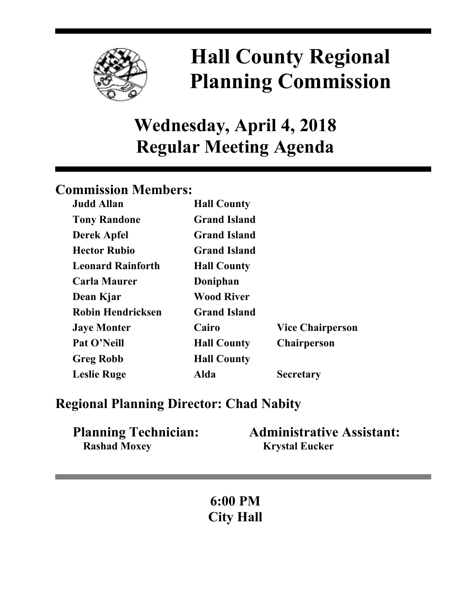

# **Hall County Regional Planning Commission**

## **Wednesday, April 4, 2018 Regular Meeting Agenda**

## **Commission Members:**

| <b>Judd Allan</b>        | <b>Hall County</b>  |                         |
|--------------------------|---------------------|-------------------------|
| <b>Tony Randone</b>      | <b>Grand Island</b> |                         |
| <b>Derek Apfel</b>       | <b>Grand Island</b> |                         |
| <b>Hector Rubio</b>      | <b>Grand Island</b> |                         |
| <b>Leonard Rainforth</b> | <b>Hall County</b>  |                         |
| <b>Carla Maurer</b>      | Doniphan            |                         |
| Dean Kjar                | <b>Wood River</b>   |                         |
| <b>Robin Hendricksen</b> | <b>Grand Island</b> |                         |
| <b>Jaye Monter</b>       | Cairo               | <b>Vice Chairperson</b> |
| Pat O'Neill              | <b>Hall County</b>  | <b>Chairperson</b>      |
| <b>Greg Robb</b>         | <b>Hall County</b>  |                         |
| <b>Leslie Ruge</b>       | Alda                | <b>Secretary</b>        |

### **Regional Planning Director: Chad Nabity**

| <b>Planning Technician:</b> | <b>Administrative Assistant:</b> |
|-----------------------------|----------------------------------|
| <b>Rashad Moxey</b>         | <b>Krystal Eucker</b>            |

**6:00 PM City Hall**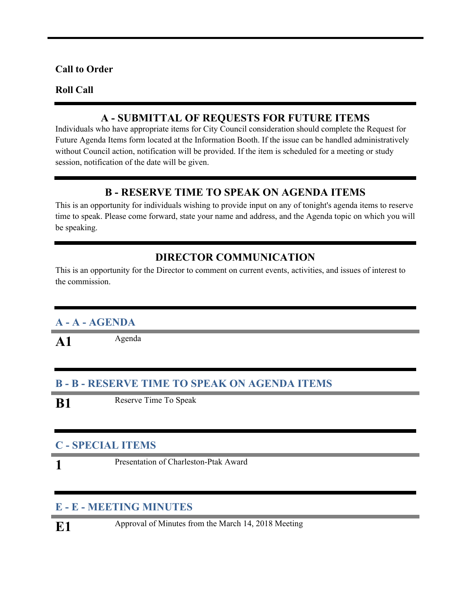#### **Call to Order**

#### **Roll Call**

#### **A - SUBMITTAL OF REQUESTS FOR FUTURE ITEMS**

Individuals who have appropriate items for City Council consideration should complete the Request for Future Agenda Items form located at the Information Booth. If the issue can be handled administratively without Council action, notification will be provided. If the item is scheduled for a meeting or study session, notification of the date will be given.

#### **B - RESERVE TIME TO SPEAK ON AGENDA ITEMS**

This is an opportunity for individuals wishing to provide input on any of tonight's agenda items to reserve time to speak. Please come forward, state your name and address, and the Agenda topic on which you will be speaking.

#### **DIRECTOR COMMUNICATION**

This is an opportunity for the Director to comment on current events, activities, and issues of interest to the commission.

#### **A - A - AGENDA**

A1 Agenda

#### **B - B - RESERVE TIME TO SPEAK ON AGENDA ITEMS**

**B1** Reserve Time To Speak

#### **C - SPECIAL ITEMS**

**1**

Presentation of Charleston-Ptak Award

#### **E - E - MEETING MINUTES**

**E1** Approval of Minutes from the March 14, 2018 Meeting